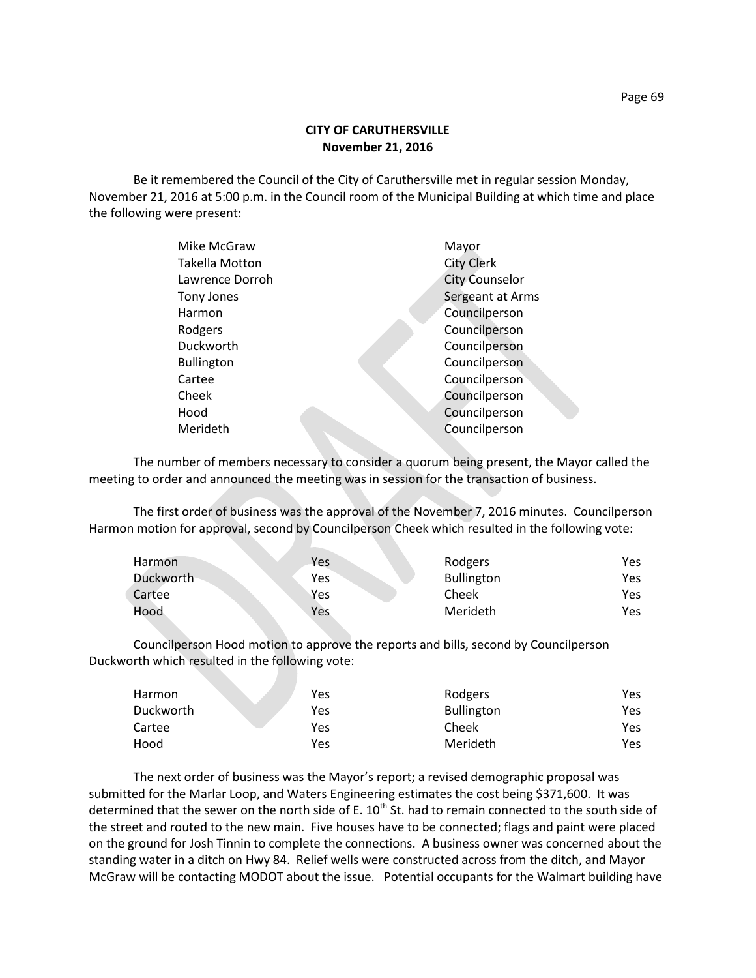## **CITY OF CARUTHERSVILLE November 21, 2016**

Be it remembered the Council of the City of Caruthersville met in regular session Monday, November 21, 2016 at 5:00 p.m. in the Council room of the Municipal Building at which time and place the following were present:

| Mike McGraw       | Mayor                 |
|-------------------|-----------------------|
| Takella Motton    | <b>City Clerk</b>     |
| Lawrence Dorroh   | <b>City Counselor</b> |
| Tony Jones        | Sergeant at Arms      |
| Harmon            | Councilperson         |
| Rodgers           | Councilperson         |
| Duckworth         | Councilperson         |
| <b>Bullington</b> | Councilperson         |
| Cartee            | Councilperson         |
| Cheek             | Councilperson         |
| Hood              | Councilperson         |
| Merideth          | Councilperson         |
|                   |                       |

The number of members necessary to consider a quorum being present, the Mayor called the meeting to order and announced the meeting was in session for the transaction of business.

The first order of business was the approval of the November 7, 2016 minutes. Councilperson Harmon motion for approval, second by Councilperson Cheek which resulted in the following vote:

| Harmon    | <b>Yes</b> | Rodgers           | Yes  |
|-----------|------------|-------------------|------|
| Duckworth | Yes        | <b>Bullington</b> | Yes  |
| Cartee    | Yes        | Cheek             | Yes  |
| Hood      | Yes        | Merideth          | Yes. |

Councilperson Hood motion to approve the reports and bills, second by Councilperson Duckworth which resulted in the following vote:

| Harmon    | Yes | Rodgers           | Yes. |
|-----------|-----|-------------------|------|
| Duckworth | Yes | <b>Bullington</b> | Yes. |
| Cartee    | Yes | Cheek             | Yes. |
| Hood      | Yes | Merideth          | Yes. |

The next order of business was the Mayor's report; a revised demographic proposal was submitted for the Marlar Loop, and Waters Engineering estimates the cost being \$371,600. It was determined that the sewer on the north side of E.  $10^{th}$  St. had to remain connected to the south side of the street and routed to the new main. Five houses have to be connected; flags and paint were placed on the ground for Josh Tinnin to complete the connections. A business owner was concerned about the standing water in a ditch on Hwy 84. Relief wells were constructed across from the ditch, and Mayor McGraw will be contacting MODOT about the issue. Potential occupants for the Walmart building have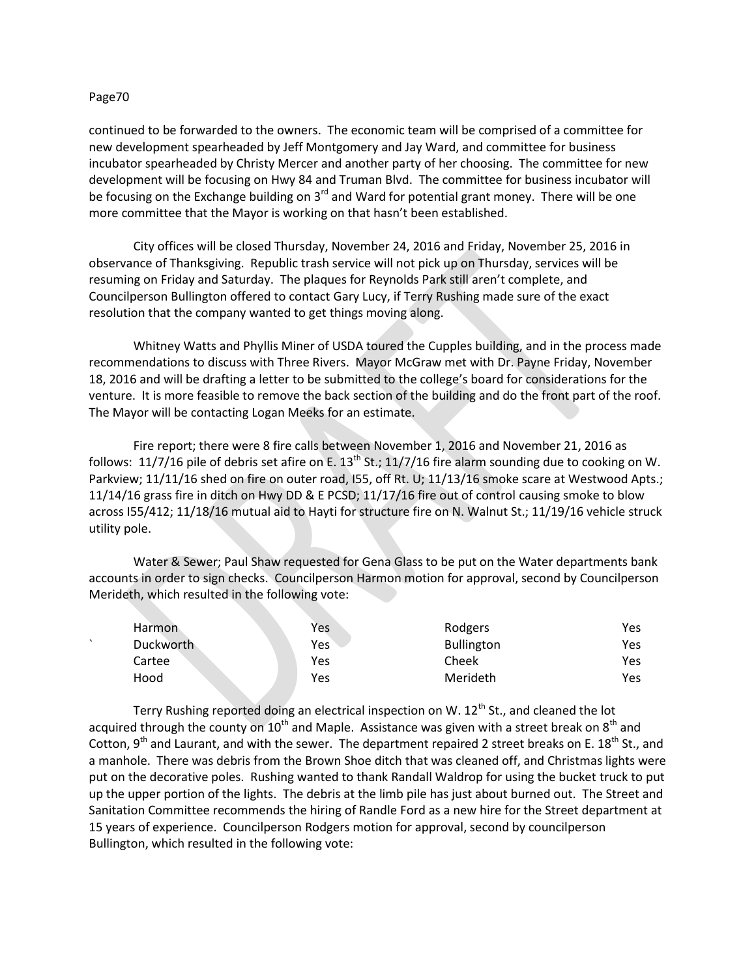## Page70

continued to be forwarded to the owners. The economic team will be comprised of a committee for new development spearheaded by Jeff Montgomery and Jay Ward, and committee for business incubator spearheaded by Christy Mercer and another party of her choosing. The committee for new development will be focusing on Hwy 84 and Truman Blvd. The committee for business incubator will be focusing on the Exchange building on  $3<sup>rd</sup>$  and Ward for potential grant money. There will be one more committee that the Mayor is working on that hasn't been established.

City offices will be closed Thursday, November 24, 2016 and Friday, November 25, 2016 in observance of Thanksgiving. Republic trash service will not pick up on Thursday, services will be resuming on Friday and Saturday. The plaques for Reynolds Park still aren't complete, and Councilperson Bullington offered to contact Gary Lucy, if Terry Rushing made sure of the exact resolution that the company wanted to get things moving along.

Whitney Watts and Phyllis Miner of USDA toured the Cupples building, and in the process made recommendations to discuss with Three Rivers. Mayor McGraw met with Dr. Payne Friday, November 18, 2016 and will be drafting a letter to be submitted to the college's board for considerations for the venture. It is more feasible to remove the back section of the building and do the front part of the roof. The Mayor will be contacting Logan Meeks for an estimate.

Fire report; there were 8 fire calls between November 1, 2016 and November 21, 2016 as follows: 11/7/16 pile of debris set afire on E.  $13<sup>th</sup>$  St.; 11/7/16 fire alarm sounding due to cooking on W. Parkview; 11/11/16 shed on fire on outer road, I55, off Rt. U; 11/13/16 smoke scare at Westwood Apts.; 11/14/16 grass fire in ditch on Hwy DD & E PCSD; 11/17/16 fire out of control causing smoke to blow across I55/412; 11/18/16 mutual aid to Hayti for structure fire on N. Walnut St.; 11/19/16 vehicle struck utility pole.

Water & Sewer; Paul Shaw requested for Gena Glass to be put on the Water departments bank accounts in order to sign checks. Councilperson Harmon motion for approval, second by Councilperson Merideth, which resulted in the following vote:

| Yes |
|-----|
| Yes |
| Yes |
| Yes |
|     |

Terry Rushing reported doing an electrical inspection on W.  $12<sup>th</sup>$  St., and cleaned the lot acquired through the county on  $10^{th}$  and Maple. Assistance was given with a street break on  $8^{th}$  and Cotton, 9<sup>th</sup> and Laurant, and with the sewer. The department repaired 2 street breaks on E. 18<sup>th</sup> St., and a manhole. There was debris from the Brown Shoe ditch that was cleaned off, and Christmas lights were put on the decorative poles. Rushing wanted to thank Randall Waldrop for using the bucket truck to put up the upper portion of the lights. The debris at the limb pile has just about burned out. The Street and Sanitation Committee recommends the hiring of Randle Ford as a new hire for the Street department at 15 years of experience. Councilperson Rodgers motion for approval, second by councilperson Bullington, which resulted in the following vote: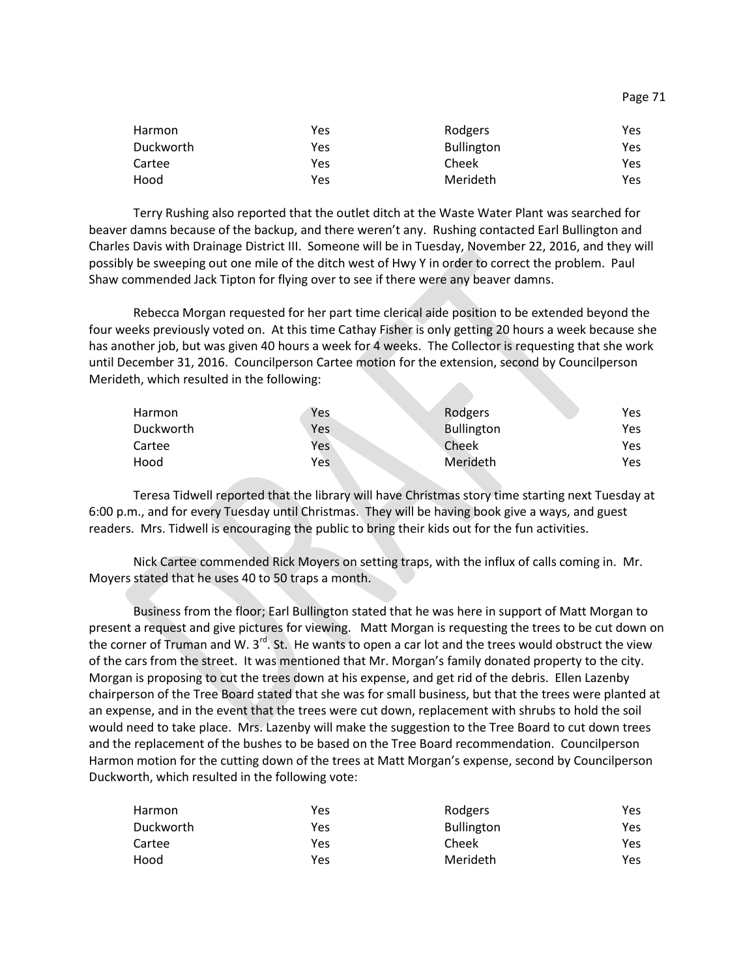| Harmon    | Yes | Rodgers           | Yes |
|-----------|-----|-------------------|-----|
| Duckworth | Yes | <b>Bullington</b> | Yes |
| Cartee    | Yes | Cheek             | Yes |
| Hood      | Yes | Merideth          | Yes |

Terry Rushing also reported that the outlet ditch at the Waste Water Plant was searched for beaver damns because of the backup, and there weren't any. Rushing contacted Earl Bullington and Charles Davis with Drainage District III. Someone will be in Tuesday, November 22, 2016, and they will possibly be sweeping out one mile of the ditch west of Hwy Y in order to correct the problem. Paul Shaw commended Jack Tipton for flying over to see if there were any beaver damns.

Rebecca Morgan requested for her part time clerical aide position to be extended beyond the four weeks previously voted on. At this time Cathay Fisher is only getting 20 hours a week because she has another job, but was given 40 hours a week for 4 weeks. The Collector is requesting that she work until December 31, 2016. Councilperson Cartee motion for the extension, second by Councilperson Merideth, which resulted in the following:

| Harmon    | Yes | Rodgers           | Yes |
|-----------|-----|-------------------|-----|
| Duckworth | Yes | <b>Bullington</b> | Yes |
| Cartee    | Yes | Cheek             | Yes |
| Hood      | Yes | Merideth          | Yes |

Teresa Tidwell reported that the library will have Christmas story time starting next Tuesday at 6:00 p.m., and for every Tuesday until Christmas. They will be having book give a ways, and guest readers. Mrs. Tidwell is encouraging the public to bring their kids out for the fun activities.

Nick Cartee commended Rick Moyers on setting traps, with the influx of calls coming in. Mr. Moyers stated that he uses 40 to 50 traps a month.

Business from the floor; Earl Bullington stated that he was here in support of Matt Morgan to present a request and give pictures for viewing. Matt Morgan is requesting the trees to be cut down on the corner of Truman and W.  $3^{rd}$ . St. He wants to open a car lot and the trees would obstruct the view of the cars from the street. It was mentioned that Mr. Morgan's family donated property to the city. Morgan is proposing to cut the trees down at his expense, and get rid of the debris. Ellen Lazenby chairperson of the Tree Board stated that she was for small business, but that the trees were planted at an expense, and in the event that the trees were cut down, replacement with shrubs to hold the soil would need to take place. Mrs. Lazenby will make the suggestion to the Tree Board to cut down trees and the replacement of the bushes to be based on the Tree Board recommendation. Councilperson Harmon motion for the cutting down of the trees at Matt Morgan's expense, second by Councilperson Duckworth, which resulted in the following vote:

| Harmon    | Yes | Rodgers           | Yes |
|-----------|-----|-------------------|-----|
| Duckworth | Yes | <b>Bullington</b> | Yes |
| Cartee    | Yes | Cheek             | Yes |
| Hood      | Yes | Merideth          | Yes |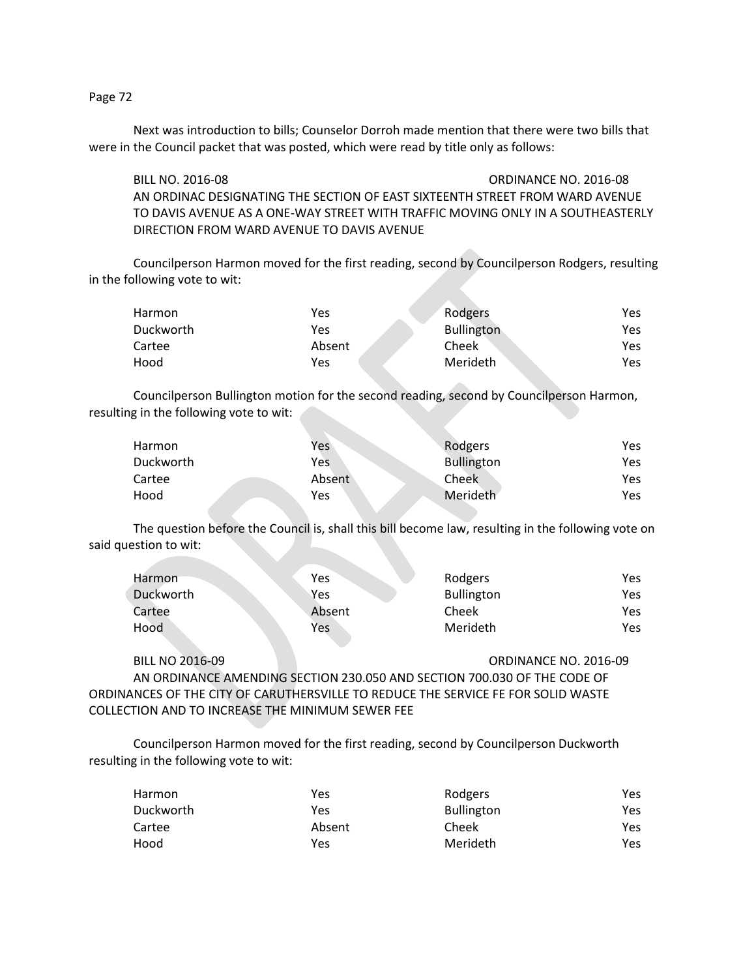## Page 72

Next was introduction to bills; Counselor Dorroh made mention that there were two bills that were in the Council packet that was posted, which were read by title only as follows:

BILL NO. 2016-08 ORDINANCE NO. 2016-08 AN ORDINAC DESIGNATING THE SECTION OF EAST SIXTEENTH STREET FROM WARD AVENUE TO DAVIS AVENUE AS A ONE-WAY STREET WITH TRAFFIC MOVING ONLY IN A SOUTHEASTERLY DIRECTION FROM WARD AVENUE TO DAVIS AVENUE

Councilperson Harmon moved for the first reading, second by Councilperson Rodgers, resulting in the following vote to wit:

| Harmon    | Yes    | Rodgers           | Yes |
|-----------|--------|-------------------|-----|
| Duckworth | Yes    | <b>Bullington</b> | Yes |
| Cartee    | Absent | Cheek             | Yes |
| Hood      | Yes    | Merideth          | Yes |

Councilperson Bullington motion for the second reading, second by Councilperson Harmon, resulting in the following vote to wit:

| Harmon    | Yes    | Rodgers           | Yes  |
|-----------|--------|-------------------|------|
| Duckworth | Yes    | <b>Bullington</b> | Yes  |
| Cartee    | Absent | Cheek             | Yes. |
| Hood      | Yes    | Merideth          | Yes  |

The question before the Council is, shall this bill become law, resulting in the following vote on said question to wit:

| Harmon    | Yes    | Rodgers           | Yes |
|-----------|--------|-------------------|-----|
| Duckworth | Yes    | <b>Bullington</b> | Yes |
| Cartee    | Absent | Cheek             | Yes |
| Hood      | Yes    | Merideth          | Yes |

BILL NO 2016-09 ORDINANCE NO. 2016-09 AN ORDINANCE AMENDING SECTION 230.050 AND SECTION 700.030 OF THE CODE OF ORDINANCES OF THE CITY OF CARUTHERSVILLE TO REDUCE THE SERVICE FE FOR SOLID WASTE COLLECTION AND TO INCREASE THE MINIMUM SEWER FEE

Councilperson Harmon moved for the first reading, second by Councilperson Duckworth resulting in the following vote to wit:

| Harmon    | Yes    | Rodgers           | Yes |
|-----------|--------|-------------------|-----|
| Duckworth | Yes    | <b>Bullington</b> | Yes |
| Cartee    | Absent | Cheek             | Yes |
| Hood      | Yes    | Merideth          | Yes |